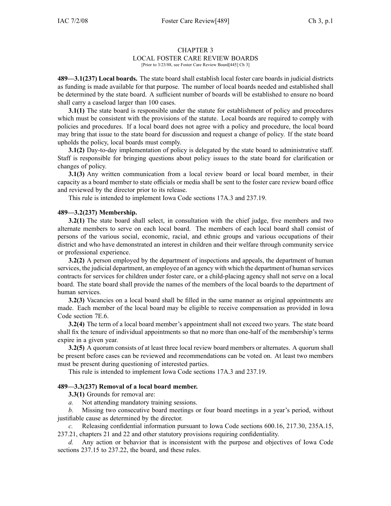#### CHAPTER 3 LOCAL FOSTER CARE REVIEW BOARDS [Prior to 3/23/88, see Foster Care Review Board[445] Ch 3]

**489—3.1(237) Local boards.** The state board shall establish local foster care boards in judicial districts as funding is made available for that purpose. The number of local boards needed and established shall be determined by the state board. A sufficient number of boards will be established to ensure no board shall carry <sup>a</sup> caseload larger than 100 cases.

**3.1(1)** The state board is responsible under the statute for establishment of policy and procedures which must be consistent with the provisions of the statute. Local boards are required to comply with policies and procedures. If <sup>a</sup> local board does not agree with <sup>a</sup> policy and procedure, the local board may bring that issue to the state board for discussion and reques<sup>t</sup> <sup>a</sup> change of policy. If the state board upholds the policy, local boards must comply.

**3.1(2)** Day-to-day implementation of policy is delegated by the state board to administrative staff. Staff is responsible for bringing questions about policy issues to the state board for clarification or changes of policy.

**3.1(3)** Any written communication from <sup>a</sup> local review board or local board member, in their capacity as <sup>a</sup> board member to state officials or media shall be sent to the foster care review board office and reviewed by the director prior to its release.

This rule is intended to implement Iowa Code sections 17A.3 and 237.19.

## **489—3.2(237) Membership.**

**3.2(1)** The state board shall select, in consultation with the chief judge, five members and two alternate members to serve on each local board. The members of each local board shall consist of persons of the various social, economic, racial, and ethnic groups and various occupations of their district and who have demonstrated an interest in children and their welfare through community service or professional experience.

**3.2(2)** A person employed by the department of inspections and appeals, the department of human services, the judicial department, an employee of an agency with which the department of human services contracts for services for children under foster care, or <sup>a</sup> child-placing agency shall not serve on <sup>a</sup> local board. The state board shall provide the names of the members of the local boards to the department of human services.

**3.2(3)** Vacancies on a local board shall be filled in the same manner as original appointments are made. Each member of the local board may be eligible to receive compensation as provided in Iowa Code section 7E.6.

**3.2(4)** The term of <sup>a</sup> local board member's appointment shall not exceed two years. The state board shall fix the tenure of individual appointments so that no more than one-half of the membership's terms expire in <sup>a</sup> given year.

**3.2(5)** A quorum consists of at least three local review board members or alternates. A quorum shall be presen<sup>t</sup> before cases can be reviewed and recommendations can be voted on. At least two members must be presen<sup>t</sup> during questioning of interested parties.

This rule is intended to implement Iowa Code sections 17A.3 and 237.19.

## **489—3.3(237) Removal of <sup>a</sup> local board member.**

**3.3(1)** Grounds for removal are:

*a.* Not attending mandatory training sessions.

*b.* Missing two consecutive board meetings or four board meetings in <sup>a</sup> year's period, without justifiable cause as determined by the director.

*c.* Releasing confidential information pursuan<sup>t</sup> to Iowa Code sections 600.16, 217.30, 235A.15, 237.21, chapters 21 and 22 and other statutory provisions requiring confidentiality.

*d.* Any action or behavior that is inconsistent with the purpose and objectives of Iowa Code sections 237.15 to 237.22, the board, and these rules.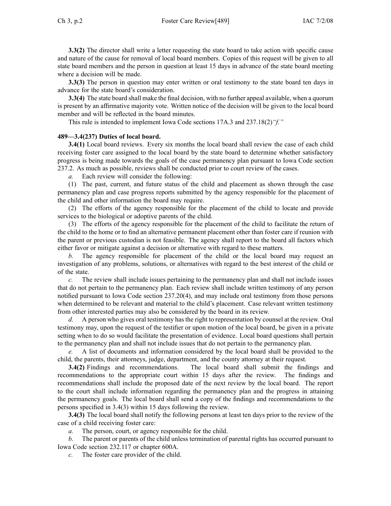**3.3(2)** The director shall write a letter requesting the state board to take action with specific cause and nature of the cause for removal of local board members. Copies of this reques<sup>t</sup> will be given to all state board members and the person in question at least 15 days in advance of the state board meeting where <sup>a</sup> decision will be made.

**3.3(3)** The person in question may enter written or oral testimony to the state board ten days in advance for the state board's consideration.

**3.3(4)** The state board shall make the final decision, with no further appeal available, when <sup>a</sup> quorum is presen<sup>t</sup> by an affirmative majority vote. Written notice of the decision will be given to the local board member and will be reflected in the board minutes.

This rule is intended to implement Iowa Code sections 17A.3 and 237.18(2)*"f."*

# **489—3.4(237) Duties of local board.**

**3.4(1)** Local board reviews. Every six months the local board shall review the case of each child receiving foster care assigned to the local board by the state board to determine whether satisfactory progress is being made towards the goals of the case permanency plan pursuan<sup>t</sup> to Iowa Code section 237.2. As much as possible, reviews shall be conducted prior to court review of the cases.

*a.* Each review will consider the following:

(1) The past, current, and future status of the child and placement as shown through the case permanency plan and case progress reports submitted by the agency responsible for the placement of the child and other information the board may require.

(2) The efforts of the agency responsible for the placement of the child to locate and provide services to the biological or adoptive parents of the child.

(3) The efforts of the agency responsible for the placement of the child to facilitate the return of the child to the home or to find an alternative permanen<sup>t</sup> placement other than foster care if reunion with the paren<sup>t</sup> or previous custodian is not feasible. The agency shall repor<sup>t</sup> to the board all factors which either favor or mitigate against <sup>a</sup> decision or alternative with regard to these matters.

*b.* The agency responsible for placement of the child or the local board may reques<sup>t</sup> an investigation of any problems, solutions, or alternatives with regard to the best interest of the child or of the state.

*c.* The review shall include issues pertaining to the permanency plan and shall not include issues that do not pertain to the permanency plan. Each review shall include written testimony of any person notified pursuan<sup>t</sup> to Iowa Code section 237.20(4), and may include oral testimony from those persons when determined to be relevant and material to the child's placement. Case relevant written testimony from other interested parties may also be considered by the board in its review.

*d.* A person who gives oral testimony has the right to representation by counsel at the review. Oral testimony may, upon the reques<sup>t</sup> of the testifier or upon motion of the local board, be given in <sup>a</sup> private setting when to do so would facilitate the presentation of evidence. Local board questions shall pertain to the permanency plan and shall not include issues that do not pertain to the permanency plan.

*e.* A list of documents and information considered by the local board shall be provided to the child, the parents, their attorneys, judge, department, and the county attorney at their request.

**3.4(2)** Findings and recommendations. The local board shall submit the findings and recommendations to the appropriate court within 15 days after the review. The findings and recommendations shall include the proposed date of the next review by the local board. The repor<sup>t</sup> to the court shall include information regarding the permanency plan and the progress in attaining the permanency goals. The local board shall send <sup>a</sup> copy of the findings and recommendations to the persons specified in 3.4(3) within 15 days following the review.

**3.4(3)** The local board shall notify the following persons at least ten days prior to the review of the case of <sup>a</sup> child receiving foster care:

*a.* The person, court, or agency responsible for the child.

*b.* The paren<sup>t</sup> or parents of the child unless termination of parental rights has occurred pursuan<sup>t</sup> to Iowa Code section 232.117 or chapter 600A.

*c.* The foster care provider of the child.